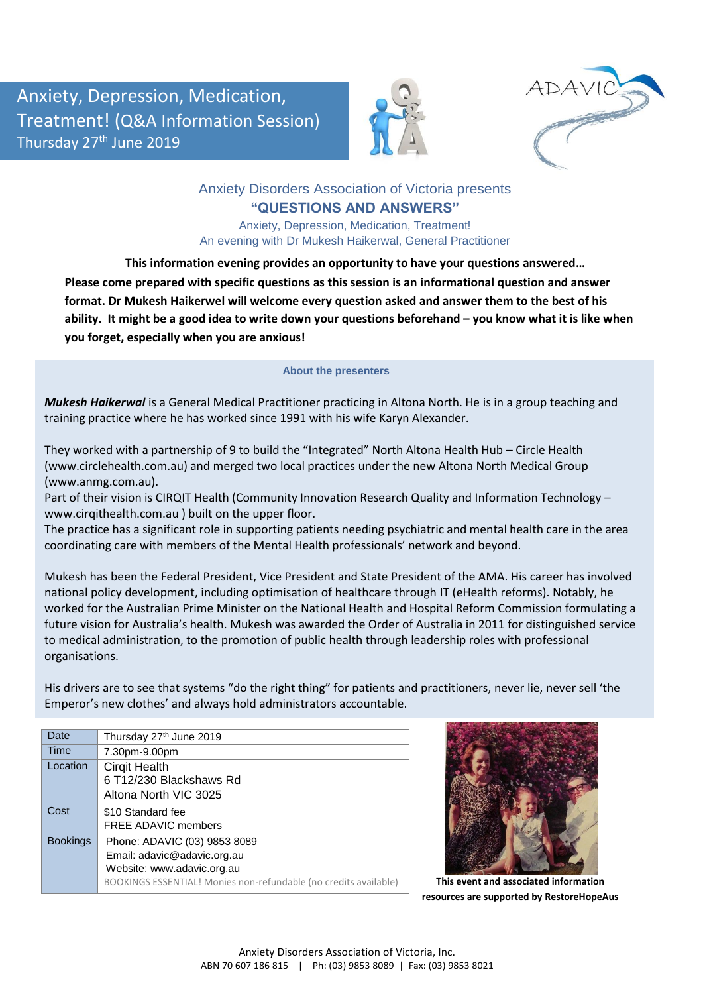Anxiety, Depression, Medication, Treatment! (Q&A Information Session) Thursday 27<sup>th</sup> June 2019





## Anxiety Disorders Association of Victoria presents **"QUESTIONS AND ANSWERS"**

Anxiety, Depression, Medication, Treatment! An evening with Dr Mukesh Haikerwal, General Practitioner

**This information evening provides an opportunity to have your questions answered… Please come prepared with specific questions as this session is an informational question and answer format. Dr Mukesh Haikerwel will welcome every question asked and answer them to the best of his**  ability. It might be a good idea to write down your questions beforehand – you know what it is like when **you forget, especially when you are anxious!**

## **About the presenters**

*Mukesh Haikerwal* is a General Medical Practitioner practicing in Altona North. He is in a group teaching and training practice where he has worked since 1991 with his wife Karyn Alexander.

They worked with a partnership of 9 to build the "Integrated" North Altona Health Hub – Circle Health (www.circlehealth.com.au) and merged two local practices under the new Altona North Medical Group (www.anmg.com.au).

Part of their vision is CIRQIT Health (Community Innovation Research Quality and Information Technology – www.cirqithealth.com.au ) built on the upper floor.

The practice has a significant role in supporting patients needing psychiatric and mental health care in the area coordinating care with members of the Mental Health professionals' network and beyond.

Mukesh has been the Federal President, Vice President and State President of the AMA. His career has involved national policy development, including optimisation of healthcare through IT (eHealth reforms). Notably, he worked for the Australian Prime Minister on the National Health and Hospital Reform Commission formulating a future vision for Australia's health. Mukesh was awarded the Order of Australia in 2011 for distinguished service to medical administration, to the promotion of public health through leadership roles with professional organisations.

His drivers are to see that systems "do the right thing" for patients and practitioners, never lie, never sell 'the Emperor's new clothes' and always hold administrators accountable.

| Date            | Thursday 27th June 2019                                          |
|-----------------|------------------------------------------------------------------|
| Time            | 7.30pm-9.00pm                                                    |
| Location        | <b>Cirgit Health</b>                                             |
|                 | 6 T12/230 Blackshaws Rd                                          |
|                 | Altona North VIC 3025                                            |
| Cost            | \$10 Standard fee                                                |
|                 | <b>FREE ADAVIC members</b>                                       |
| <b>Bookings</b> | Phone: ADAVIC (03) 9853 8089                                     |
|                 | Email: adavic@adavic.org.au                                      |
|                 | Website: www.adavic.org.au                                       |
|                 | BOOKINGS ESSENTIAL! Monies non-refundable (no credits available) |
|                 |                                                                  |



**This event and associated information resources are supported by RestoreHopeAus**